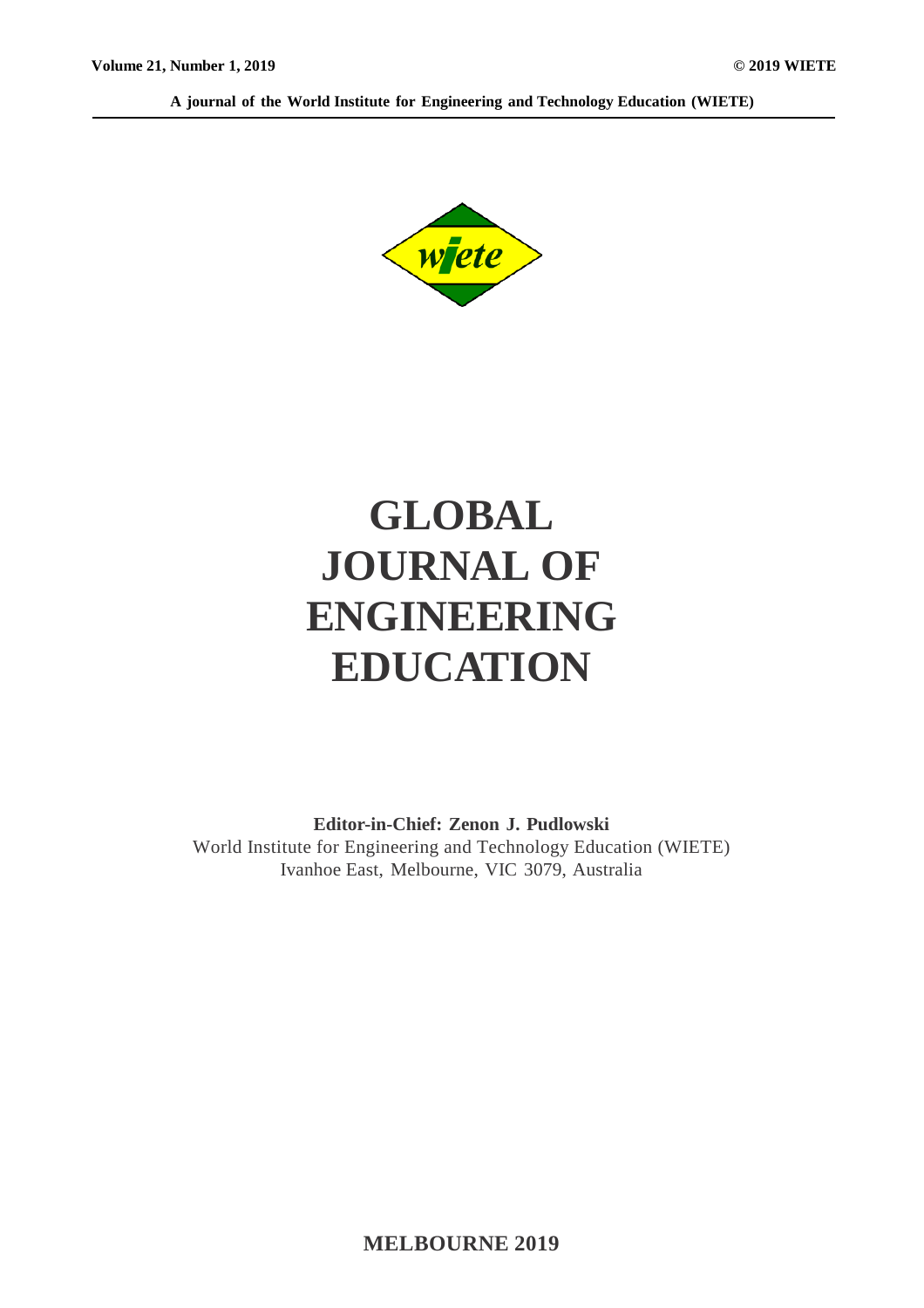**A journal of the World Institute for Engineering and Technology Education (WIETE)**



# **GLOBAL JOURNAL OF ENGINEERING EDUCATION**

**Editor-in-Chief: Zenon J. Pudlowski** World Institute for Engineering and Technology Education (WIETE) Ivanhoe East, Melbourne, VIC 3079, Australia

**MELBOURNE 2019**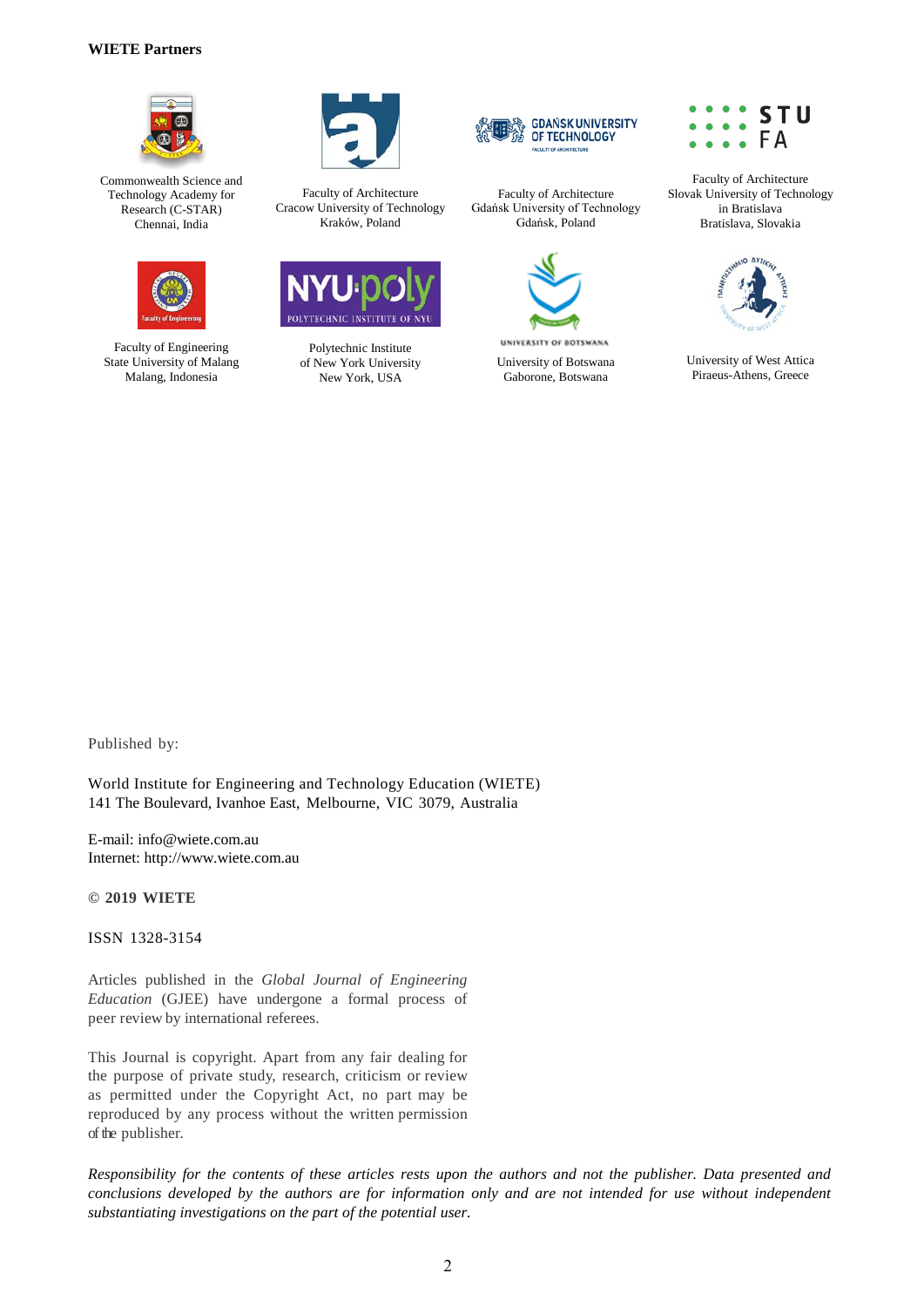#### **WIETE Partners**



Commonwealth Science and Technology Academy for Research (C-STAR) Chennai, India



Faculty of Engineering State University of Malang Malang, Indonesia



Faculty of Architecture Cracow University of Technology Kraków, Poland



Polytechnic Institute of New York University New York, USA



Faculty of Architecture Gdańsk University of Technology Gdańsk, Poland



University of Botswana Gaborone, Botswana



Faculty of Architecture Slovak University of Technology in Bratislava Bratislava, Slovakia



University of West Attica Piraeus-Athens, Greece

Published by:

World Institute for Engineering and Technology Education (WIETE) 141 The Boulevard, Ivanhoe East, Melbourne, VIC 3079, Australia

E-mail: info@wiete.com.au Internet: http://www.wiete.com.au

**© 2019 WIETE**

ISSN 1328-3154

Articles published in the *Global Journal of Engineering Education* (GJEE) have undergone a formal process of peer review by international referees.

This Journal is copyright. Apart from any fair dealing for the purpose of private study, research, criticism or review as permitted under the Copyright Act, no part may be reproduced by any process without the written permission of the publisher.

*Responsibility for the contents of these articles rests upon the authors and not the publisher. Data presented and conclusions developed by the authors are for information only and are not intended for use without independent substantiating investigations on the part of the potential user.*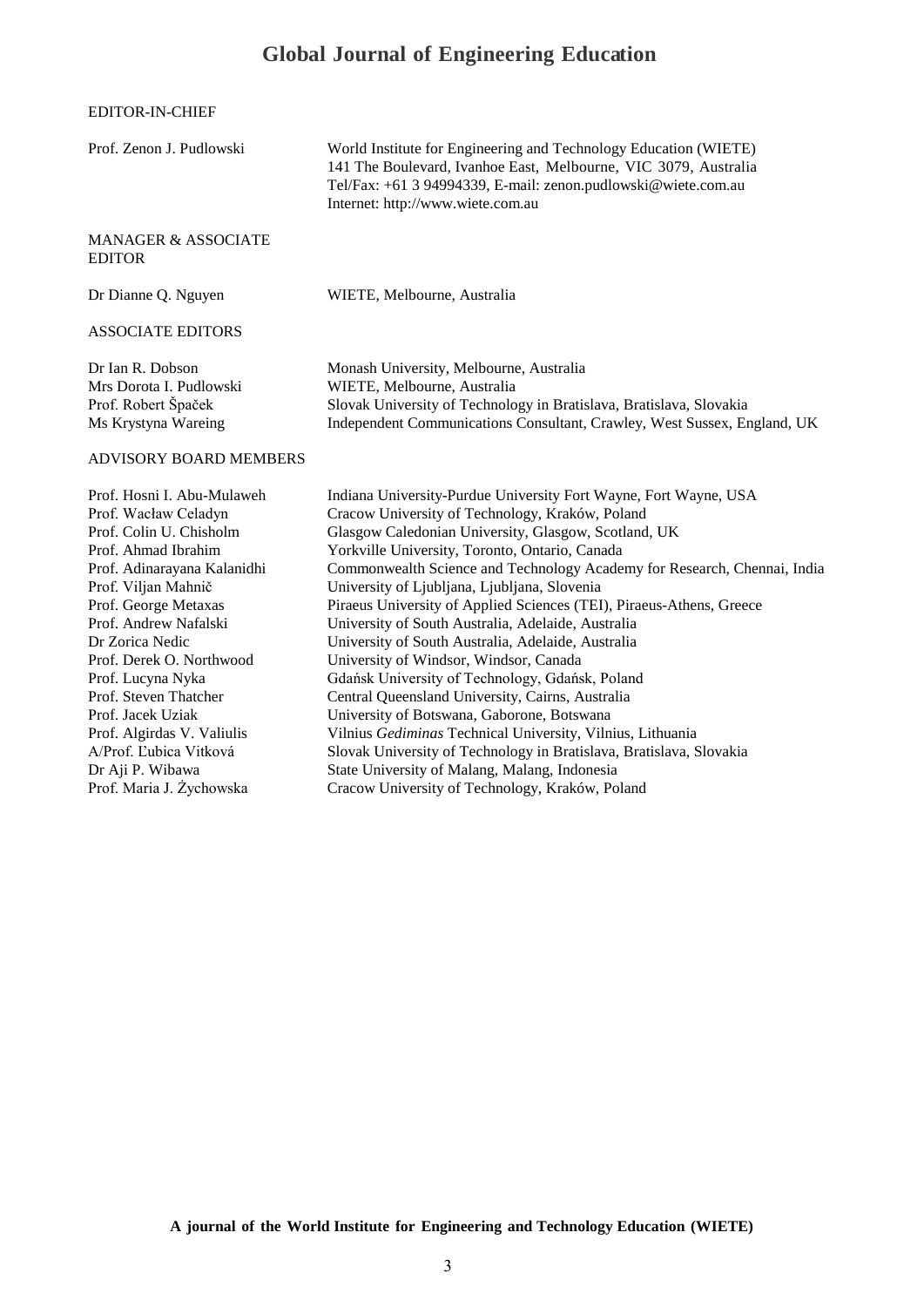## **Global Journal of Engineering Education**

#### EDITOR-IN-CHIEF

| Prof. Zenon J. Pudlowski                                                                                                                                                                                                                                                                                                                                                                                                              | World Institute for Engineering and Technology Education (WIETE)<br>141 The Boulevard, Ivanhoe East, Melbourne, VIC 3079, Australia<br>Tel/Fax: +61 3 94994339, E-mail: zenon.pudlowski@wiete.com.au<br>Internet: http://www.wiete.com.au                                                                                                                                                                                                                                                                                                                                                                                                                                                                                                                                                                                                                                                                                                                                             |  |
|---------------------------------------------------------------------------------------------------------------------------------------------------------------------------------------------------------------------------------------------------------------------------------------------------------------------------------------------------------------------------------------------------------------------------------------|---------------------------------------------------------------------------------------------------------------------------------------------------------------------------------------------------------------------------------------------------------------------------------------------------------------------------------------------------------------------------------------------------------------------------------------------------------------------------------------------------------------------------------------------------------------------------------------------------------------------------------------------------------------------------------------------------------------------------------------------------------------------------------------------------------------------------------------------------------------------------------------------------------------------------------------------------------------------------------------|--|
| <b>MANAGER &amp; ASSOCIATE</b><br><b>EDITOR</b>                                                                                                                                                                                                                                                                                                                                                                                       |                                                                                                                                                                                                                                                                                                                                                                                                                                                                                                                                                                                                                                                                                                                                                                                                                                                                                                                                                                                       |  |
| Dr Dianne Q. Nguyen                                                                                                                                                                                                                                                                                                                                                                                                                   | WIETE, Melbourne, Australia                                                                                                                                                                                                                                                                                                                                                                                                                                                                                                                                                                                                                                                                                                                                                                                                                                                                                                                                                           |  |
| <b>ASSOCIATE EDITORS</b>                                                                                                                                                                                                                                                                                                                                                                                                              |                                                                                                                                                                                                                                                                                                                                                                                                                                                                                                                                                                                                                                                                                                                                                                                                                                                                                                                                                                                       |  |
| Dr Ian R. Dobson<br>Mrs Dorota I. Pudlowski<br>Prof. Robert Špaček<br>Ms Krystyna Wareing                                                                                                                                                                                                                                                                                                                                             | Monash University, Melbourne, Australia<br>WIETE, Melbourne, Australia<br>Slovak University of Technology in Bratislava, Bratislava, Slovakia<br>Independent Communications Consultant, Crawley, West Sussex, England, UK                                                                                                                                                                                                                                                                                                                                                                                                                                                                                                                                                                                                                                                                                                                                                             |  |
| <b>ADVISORY BOARD MEMBERS</b>                                                                                                                                                                                                                                                                                                                                                                                                         |                                                                                                                                                                                                                                                                                                                                                                                                                                                                                                                                                                                                                                                                                                                                                                                                                                                                                                                                                                                       |  |
| Prof. Hosni I. Abu-Mulaweh<br>Prof. Wacław Celadyn<br>Prof. Colin U. Chisholm<br>Prof. Ahmad Ibrahim<br>Prof. Adinarayana Kalanidhi<br>Prof. Viljan Mahnič<br>Prof. George Metaxas<br>Prof. Andrew Nafalski<br>Dr Zorica Nedic<br>Prof. Derek O. Northwood<br>Prof. Lucyna Nyka<br>Prof. Steven Thatcher<br>Prof. Jacek Uziak<br>Prof. Algirdas V. Valiulis<br>A/Prof. Ľubica Vitková<br>Dr Aji P. Wibawa<br>Prof. Maria J. Żychowska | Indiana University-Purdue University Fort Wayne, Fort Wayne, USA<br>Cracow University of Technology, Kraków, Poland<br>Glasgow Caledonian University, Glasgow, Scotland, UK<br>Yorkville University, Toronto, Ontario, Canada<br>Commonwealth Science and Technology Academy for Research, Chennai, India<br>University of Ljubljana, Ljubljana, Slovenia<br>Piraeus University of Applied Sciences (TEI), Piraeus-Athens, Greece<br>University of South Australia, Adelaide, Australia<br>University of South Australia, Adelaide, Australia<br>University of Windsor, Windsor, Canada<br>Gdańsk University of Technology, Gdańsk, Poland<br>Central Queensland University, Cairns, Australia<br>University of Botswana, Gaborone, Botswana<br>Vilnius Gediminas Technical University, Vilnius, Lithuania<br>Slovak University of Technology in Bratislava, Bratislava, Slovakia<br>State University of Malang, Malang, Indonesia<br>Cracow University of Technology, Kraków, Poland |  |

**A journal of the World Institute for Engineering and Technology Education (WIETE)**